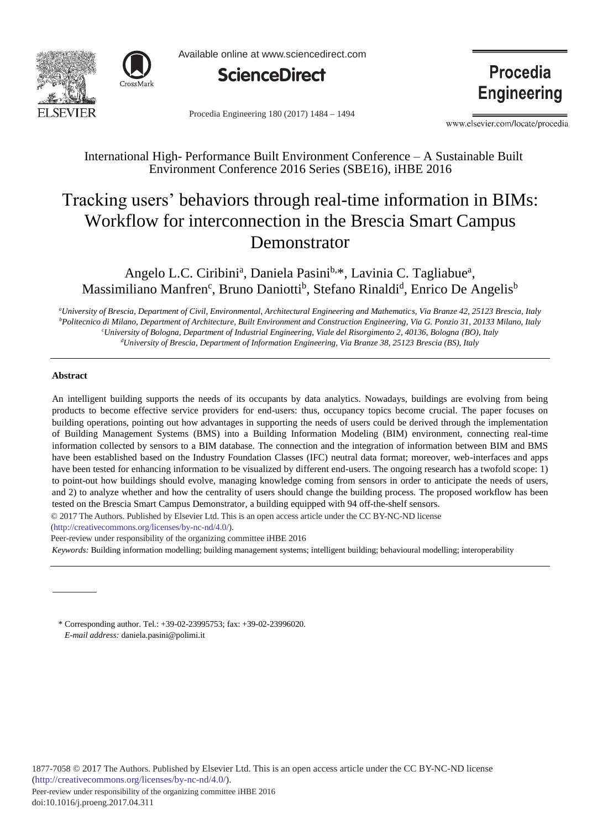



Available online at www.sciencedirect.com



Procedia Engineering 180 (2017) 1484 - 1494

Procedia **Engineering** 

www.elsevier.com/locate/procedia

## International High- Performance Built Environment Conference – A Sustainable Built Environment Conference 2016 Series (SBE16), iHBE 2016

# Tracking users' behaviors through real-time information in BIMs: Workflow for interconnection in the Brescia Smart Campus Demonstrator

Angelo L.C. Ciribini<sup>a</sup>, Daniela Pasini<sup>b,\*</sup>, Lavinia C. Tagliabue<sup>a</sup>, Massimiliano Manfren<sup>c</sup>, Bruno Daniotti<sup>b</sup>, Stefano Rinaldi<sup>d</sup>, Enrico De Angelis<sup>b</sup>

*a University of Brescia, Department of Civil, Environmental, Architectural Engineering and Mathematics, Via Branze 42, 25123 Brescia, Italy b Politecnico di Milano, Department of Architecture, Built Environment and Construction Engineering, Via G. Ponzio 31, 20133 Milano, Italy c University of Bologna, Department of Industrial Engineering, Viale del Risorgimento 2, 40136, Bologna (BO), Italy d University of Brescia, Department of Information Engineering, Via Branze 38, 25123 Brescia (BS), Italy*

## **Abstract**

An intelligent building supports the needs of its occupants by data analytics. Nowadays, buildings are evolving from being products to become effective service providers for end-users: thus, occupancy topics become crucial. The paper focuses on building operations, pointing out how advantages in supporting the needs of users could be derived through the implementation of Building Management Systems (BMS) into a Building Information Modeling (BIM) environment, connecting real-time information collected by sensors to a BIM database. The connection and the integration of information between BIM and BMS have been established based on the Industry Foundation Classes (IFC) neutral data format; moreover, web-interfaces and apps have been tested for enhancing information to be visualized by different end-users. The ongoing research has a twofold scope: 1) to point-out how buildings should evolve, managing knowledge coming from sensors in order to anticipate the needs of users, and 2) to analyze whether and how the centrality of users should change the building process. The proposed workflow has been tested on the Brescia Smart Campus Demonstrator, a building equipped with 94 off-the-shelf sensors.

© 2017 The Authors. Published by Elsevier Ltd. © 2017 The Authors. Published by Elsevier Ltd. This is an open access article under the CC BY-NC-ND license

(http://creativecommons.org/licenses/by-nc-nd/4.0/).

Peer-review under responsibility of the organizing committee iHBE 2016

*Keywords:* Building information modelling; building management systems; intelligent building; behavioural modelling; interoperability

\* Corresponding author. Tel.: +39-02-23995753; fax: +39-02-23996020. *E-mail address:* daniela.pasini@polimi.it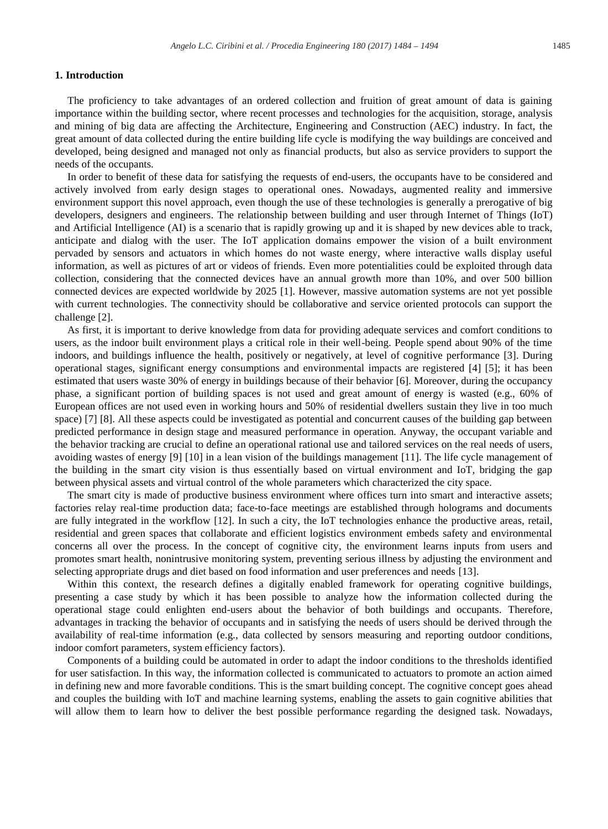#### **1. Introduction**

The proficiency to take advantages of an ordered collection and fruition of great amount of data is gaining importance within the building sector, where recent processes and technologies for the acquisition, storage, analysis and mining of big data are affecting the Architecture, Engineering and Construction (AEC) industry. In fact, the great amount of data collected during the entire building life cycle is modifying the way buildings are conceived and developed, being designed and managed not only as financial products, but also as service providers to support the needs of the occupants.

In order to benefit of these data for satisfying the requests of end-users, the occupants have to be considered and actively involved from early design stages to operational ones. Nowadays, augmented reality and immersive environment support this novel approach, even though the use of these technologies is generally a prerogative of big developers, designers and engineers. The relationship between building and user through Internet of Things (IoT) and Artificial Intelligence (AI) is a scenario that is rapidly growing up and it is shaped by new devices able to track, anticipate and dialog with the user. The IoT application domains empower the vision of a built environment pervaded by sensors and actuators in which homes do not waste energy, where interactive walls display useful information, as well as pictures of art or videos of friends. Even more potentialities could be exploited through data collection, considering that the connected devices have an annual growth more than 10%, and over 500 billion connected devices are expected worldwide by 2025 [1]. However, massive automation systems are not yet possible with current technologies. The connectivity should be collaborative and service oriented protocols can support the challenge [2].

As first, it is important to derive knowledge from data for providing adequate services and comfort conditions to users, as the indoor built environment plays a critical role in their well-being. People spend about 90% of the time indoors, and buildings influence the health, positively or negatively, at level of cognitive performance [3]. During operational stages, significant energy consumptions and environmental impacts are registered [4] [5]; it has been estimated that users waste 30% of energy in buildings because of their behavior [6]. Moreover, during the occupancy phase, a significant portion of building spaces is not used and great amount of energy is wasted (e.g., 60% of European offices are not used even in working hours and 50% of residential dwellers sustain they live in too much space) [7] [8]. All these aspects could be investigated as potential and concurrent causes of the building gap between predicted performance in design stage and measured performance in operation. Anyway, the occupant variable and the behavior tracking are crucial to define an operational rational use and tailored services on the real needs of users, avoiding wastes of energy [9] [10] in a lean vision of the buildings management [11]. The life cycle management of the building in the smart city vision is thus essentially based on virtual environment and IoT, bridging the gap between physical assets and virtual control of the whole parameters which characterized the city space.

The smart city is made of productive business environment where offices turn into smart and interactive assets; factories relay real-time production data; face-to-face meetings are established through holograms and documents are fully integrated in the workflow [12]. In such a city, the IoT technologies enhance the productive areas, retail, residential and green spaces that collaborate and efficient logistics environment embeds safety and environmental concerns all over the process. In the concept of cognitive city, the environment learns inputs from users and promotes smart health, nonintrusive monitoring system, preventing serious illness by adjusting the environment and selecting appropriate drugs and diet based on food information and user preferences and needs [13].

Within this context, the research defines a digitally enabled framework for operating cognitive buildings, presenting a case study by which it has been possible to analyze how the information collected during the operational stage could enlighten end-users about the behavior of both buildings and occupants. Therefore, advantages in tracking the behavior of occupants and in satisfying the needs of users should be derived through the availability of real-time information (e.g., data collected by sensors measuring and reporting outdoor conditions, indoor comfort parameters, system efficiency factors).

Components of a building could be automated in order to adapt the indoor conditions to the thresholds identified for user satisfaction. In this way, the information collected is communicated to actuators to promote an action aimed in defining new and more favorable conditions. This is the smart building concept. The cognitive concept goes ahead and couples the building with IoT and machine learning systems, enabling the assets to gain cognitive abilities that will allow them to learn how to deliver the best possible performance regarding the designed task. Nowadays,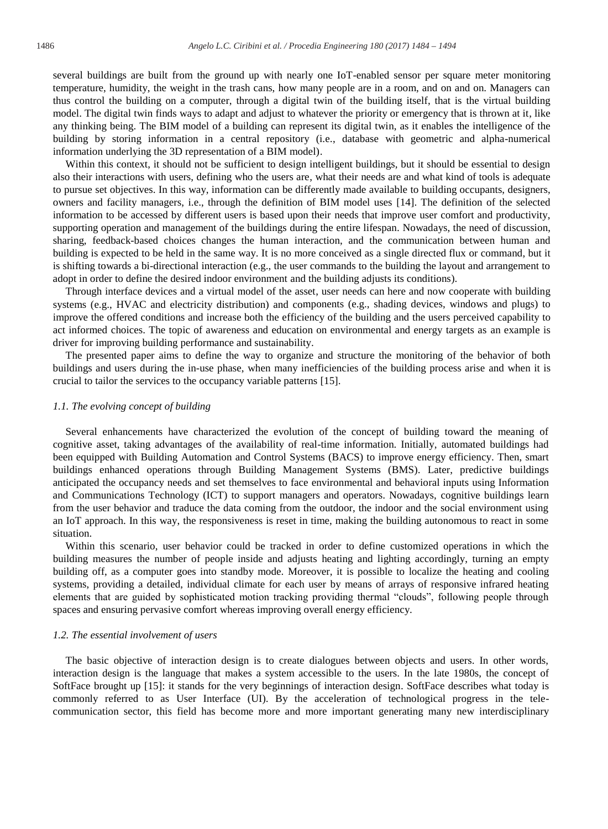several buildings are built from the ground up with nearly one IoT-enabled sensor per square meter monitoring temperature, humidity, the weight in the trash cans, how many people are in a room, and on and on. Managers can thus control the building on a computer, through a digital twin of the building itself, that is the virtual building model. The digital twin finds ways to adapt and adjust to whatever the priority or emergency that is thrown at it, like any thinking being. The BIM model of a building can represent its digital twin, as it enables the intelligence of the building by storing information in a central repository (i.e., database with geometric and alpha-numerical information underlying the 3D representation of a BIM model).

Within this context, it should not be sufficient to design intelligent buildings, but it should be essential to design also their interactions with users, defining who the users are, what their needs are and what kind of tools is adequate to pursue set objectives. In this way, information can be differently made available to building occupants, designers, owners and facility managers, i.e., through the definition of BIM model uses [14]. The definition of the selected information to be accessed by different users is based upon their needs that improve user comfort and productivity, supporting operation and management of the buildings during the entire lifespan. Nowadays, the need of discussion, sharing, feedback-based choices changes the human interaction, and the communication between human and building is expected to be held in the same way. It is no more conceived as a single directed flux or command, but it is shifting towards a bi-directional interaction (e.g., the user commands to the building the layout and arrangement to adopt in order to define the desired indoor environment and the building adjusts its conditions).

Through interface devices and a virtual model of the asset, user needs can here and now cooperate with building systems (e.g., HVAC and electricity distribution) and components (e.g., shading devices, windows and plugs) to improve the offered conditions and increase both the efficiency of the building and the users perceived capability to act informed choices. The topic of awareness and education on environmental and energy targets as an example is driver for improving building performance and sustainability.

The presented paper aims to define the way to organize and structure the monitoring of the behavior of both buildings and users during the in-use phase, when many inefficiencies of the building process arise and when it is crucial to tailor the services to the occupancy variable patterns [15].

## *1.1. The evolving concept of building*

Several enhancements have characterized the evolution of the concept of building toward the meaning of cognitive asset, taking advantages of the availability of real-time information. Initially, automated buildings had been equipped with Building Automation and Control Systems (BACS) to improve energy efficiency. Then, smart buildings enhanced operations through Building Management Systems (BMS). Later, predictive buildings anticipated the occupancy needs and set themselves to face environmental and behavioral inputs using Information and Communications Technology (ICT) to support managers and operators. Nowadays, cognitive buildings learn from the user behavior and traduce the data coming from the outdoor, the indoor and the social environment using an IoT approach. In this way, the responsiveness is reset in time, making the building autonomous to react in some situation.

Within this scenario, user behavior could be tracked in order to define customized operations in which the building measures the number of people inside and adjusts heating and lighting accordingly, turning an empty building off, as a computer goes into standby mode. Moreover, it is possible to localize the heating and cooling systems, providing a detailed, individual climate for each user by means of arrays of responsive infrared heating elements that are guided by sophisticated motion tracking providing thermal "clouds", following people through spaces and ensuring pervasive comfort whereas improving overall energy efficiency.

### *1.2. The essential involvement of users*

The basic objective of interaction design is to create dialogues between objects and users. In other words, interaction design is the language that makes a system accessible to the users. In the late 1980s, the concept of SoftFace brought up [15]: it stands for the very beginnings of interaction design. SoftFace describes what today is commonly referred to as User Interface (UI). By the acceleration of technological progress in the telecommunication sector, this field has become more and more important generating many new interdisciplinary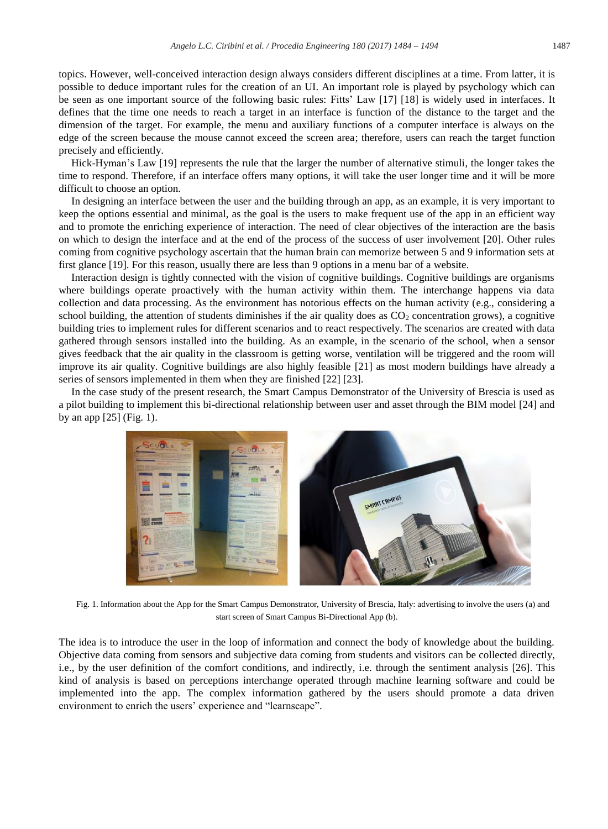topics. However, well-conceived interaction design always considers different disciplines at a time. From latter, it is possible to deduce important rules for the creation of an UI. An important role is played by psychology which can be seen as one important source of the following basic rules: Fitts' Law [17] [18] is widely used in interfaces. It defines that the time one needs to reach a target in an interface is function of the distance to the target and the dimension of the target. For example, the menu and auxiliary functions of a computer interface is always on the edge of the screen because the mouse cannot exceed the screen area; therefore, users can reach the target function precisely and efficiently.

Hick-Hyman's Law [19] represents the rule that the larger the number of alternative stimuli, the longer takes the time to respond. Therefore, if an interface offers many options, it will take the user longer time and it will be more difficult to choose an option.

In designing an interface between the user and the building through an app, as an example, it is very important to keep the options essential and minimal, as the goal is the users to make frequent use of the app in an efficient way and to promote the enriching experience of interaction. The need of clear objectives of the interaction are the basis on which to design the interface and at the end of the process of the success of user involvement [20]. Other rules coming from cognitive psychology ascertain that the human brain can memorize between 5 and 9 information sets at first glance [19]. For this reason, usually there are less than 9 options in a menu bar of a website.

Interaction design is tightly connected with the vision of cognitive buildings. Cognitive buildings are organisms where buildings operate proactively with the human activity within them. The interchange happens via data collection and data processing. As the environment has notorious effects on the human activity (e.g., considering a school building, the attention of students diminishes if the air quality does as  $CO<sub>2</sub>$  concentration grows), a cognitive building tries to implement rules for different scenarios and to react respectively. The scenarios are created with data gathered through sensors installed into the building. As an example, in the scenario of the school, when a sensor gives feedback that the air quality in the classroom is getting worse, ventilation will be triggered and the room will improve its air quality. Cognitive buildings are also highly feasible [21] as most modern buildings have already a series of sensors implemented in them when they are finished [22] [23].

In the case study of the present research, the Smart Campus Demonstrator of the University of Brescia is used as a pilot building to implement this bi-directional relationship between user and asset through the BIM model [24] and by an app [25] (Fig. 1).



Fig. 1. Information about the App for the Smart Campus Demonstrator, University of Brescia, Italy: advertising to involve the users (a) and start screen of Smart Campus Bi-Directional App (b).

The idea is to introduce the user in the loop of information and connect the body of knowledge about the building. Objective data coming from sensors and subjective data coming from students and visitors can be collected directly, i.e., by the user definition of the comfort conditions, and indirectly, i.e. through the sentiment analysis [26]. This kind of analysis is based on perceptions interchange operated through machine learning software and could be implemented into the app. The complex information gathered by the users should promote a data driven environment to enrich the users' experience and "learnscape".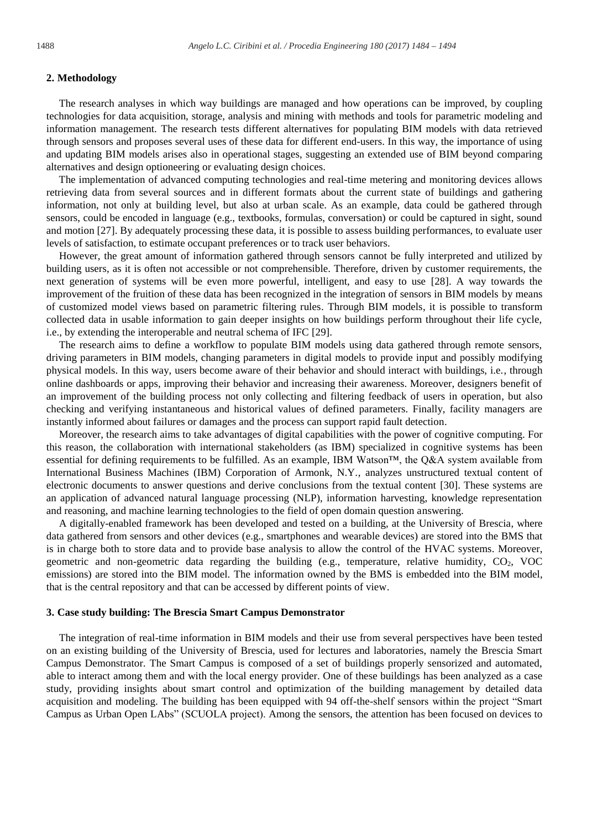### **2. Methodology**

The research analyses in which way buildings are managed and how operations can be improved, by coupling technologies for data acquisition, storage, analysis and mining with methods and tools for parametric modeling and information management. The research tests different alternatives for populating BIM models with data retrieved through sensors and proposes several uses of these data for different end-users. In this way, the importance of using and updating BIM models arises also in operational stages, suggesting an extended use of BIM beyond comparing alternatives and design optioneering or evaluating design choices.

The implementation of advanced computing technologies and real-time metering and monitoring devices allows retrieving data from several sources and in different formats about the current state of buildings and gathering information, not only at building level, but also at urban scale. As an example, data could be gathered through sensors, could be encoded in language (e.g., textbooks, formulas, conversation) or could be captured in sight, sound and motion [27]. By adequately processing these data, it is possible to assess building performances, to evaluate user levels of satisfaction, to estimate occupant preferences or to track user behaviors.

However, the great amount of information gathered through sensors cannot be fully interpreted and utilized by building users, as it is often not accessible or not comprehensible. Therefore, driven by customer requirements, the next generation of systems will be even more powerful, intelligent, and easy to use [28]. A way towards the improvement of the fruition of these data has been recognized in the integration of sensors in BIM models by means of customized model views based on parametric filtering rules. Through BIM models, it is possible to transform collected data in usable information to gain deeper insights on how buildings perform throughout their life cycle, i.e., by extending the interoperable and neutral schema of IFC [29].

The research aims to define a workflow to populate BIM models using data gathered through remote sensors, driving parameters in BIM models, changing parameters in digital models to provide input and possibly modifying physical models. In this way, users become aware of their behavior and should interact with buildings, i.e., through online dashboards or apps, improving their behavior and increasing their awareness. Moreover, designers benefit of an improvement of the building process not only collecting and filtering feedback of users in operation, but also checking and verifying instantaneous and historical values of defined parameters. Finally, facility managers are instantly informed about failures or damages and the process can support rapid fault detection.

Moreover, the research aims to take advantages of digital capabilities with the power of cognitive computing. For this reason, the collaboration with international stakeholders (as IBM) specialized in cognitive systems has been essential for defining requirements to be fulfilled. As an example, IBM Watson<sup>™</sup>, the Q&A system available from International Business Machines (IBM) Corporation of Armonk, N.Y., analyzes unstructured textual content of electronic documents to answer questions and derive conclusions from the textual content [30]. These systems are an application of advanced natural language processing (NLP), information harvesting, knowledge representation and reasoning, and machine learning technologies to the field of open domain question answering.

A digitally-enabled framework has been developed and tested on a building, at the University of Brescia, where data gathered from sensors and other devices (e.g., smartphones and wearable devices) are stored into the BMS that is in charge both to store data and to provide base analysis to allow the control of the HVAC systems. Moreover, geometric and non-geometric data regarding the building (e.g., temperature, relative humidity, CO2, VOC emissions) are stored into the BIM model. The information owned by the BMS is embedded into the BIM model, that is the central repository and that can be accessed by different points of view.

#### **3. Case study building: The Brescia Smart Campus Demonstrator**

The integration of real-time information in BIM models and their use from several perspectives have been tested on an existing building of the University of Brescia, used for lectures and laboratories, namely the Brescia Smart Campus Demonstrator. The Smart Campus is composed of a set of buildings properly sensorized and automated, able to interact among them and with the local energy provider. One of these buildings has been analyzed as a case study, providing insights about smart control and optimization of the building management by detailed data acquisition and modeling. The building has been equipped with 94 off-the-shelf sensors within the project "Smart Campus as Urban Open LAbs" (SCUOLA project). Among the sensors, the attention has been focused on devices to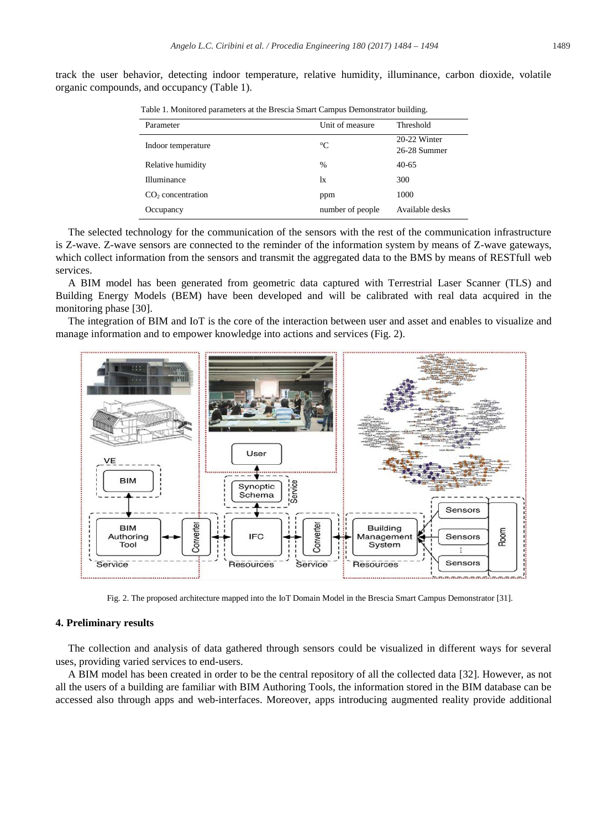track the user behavior, detecting indoor temperature, relative humidity, illuminance, carbon dioxide, volatile organic compounds, and occupancy (Table 1).

|  | Table 1. Monitored parameters at the Brescia Smart Campus Demonstrator building. |  |
|--|----------------------------------------------------------------------------------|--|
|--|----------------------------------------------------------------------------------|--|

| Parameter                     | Unit of measure  | <b>Threshold</b>             |
|-------------------------------|------------------|------------------------------|
| Indoor temperature            | $\rm ^{\circ}C$  | 20-22 Winter<br>26-28 Summer |
| Relative humidity             | $\%$             | $40 - 65$                    |
| Illuminance                   | lx               | 300                          |
| CO <sub>2</sub> concentration | ppm              | 1000                         |
| Occupancy                     | number of people | Available desks              |

The selected technology for the communication of the sensors with the rest of the communication infrastructure is Z-wave. Z-wave sensors are connected to the reminder of the information system by means of Z-wave gateways, which collect information from the sensors and transmit the aggregated data to the BMS by means of RESTfull web services.

A BIM model has been generated from geometric data captured with Terrestrial Laser Scanner (TLS) and Building Energy Models (BEM) have been developed and will be calibrated with real data acquired in the monitoring phase [30].

The integration of BIM and IoT is the core of the interaction between user and asset and enables to visualize and manage information and to empower knowledge into actions and services (Fig. 2).



Fig. 2. The proposed architecture mapped into the IoT Domain Model in the Brescia Smart Campus Demonstrator [31].

## **4. Preliminary results**

The collection and analysis of data gathered through sensors could be visualized in different ways for several uses, providing varied services to end-users.

A BIM model has been created in order to be the central repository of all the collected data [32]. However, as not all the users of a building are familiar with BIM Authoring Tools, the information stored in the BIM database can be accessed also through apps and web-interfaces. Moreover, apps introducing augmented reality provide additional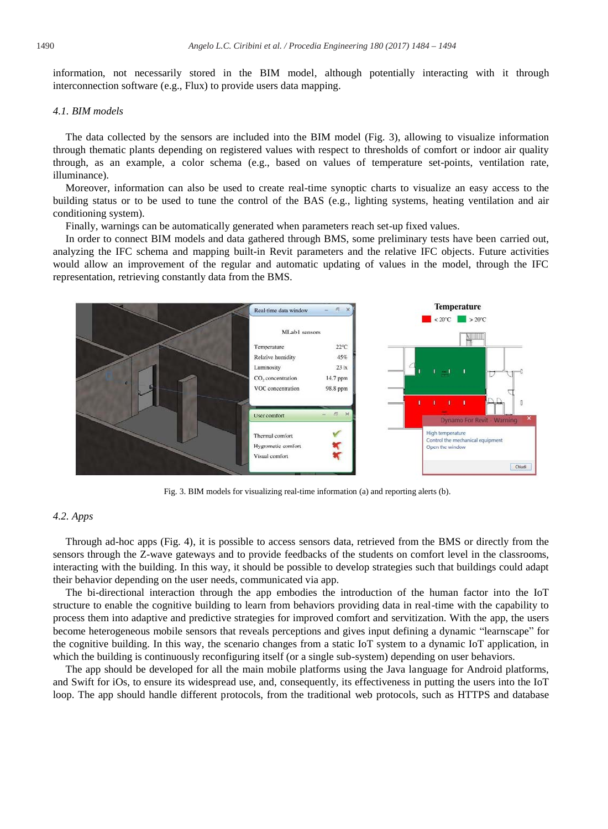information, not necessarily stored in the BIM model, although potentially interacting with it through interconnection software (e.g., Flux) to provide users data mapping.

#### *4.1. BIM models*

The data collected by the sensors are included into the BIM model (Fig. 3), allowing to visualize information through thematic plants depending on registered values with respect to thresholds of comfort or indoor air quality through, as an example, a color schema (e.g., based on values of temperature set-points, ventilation rate, illuminance).

Moreover, information can also be used to create real-time synoptic charts to visualize an easy access to the building status or to be used to tune the control of the BAS (e.g., lighting systems, heating ventilation and air conditioning system).

Finally, warnings can be automatically generated when parameters reach set-up fixed values.

In order to connect BIM models and data gathered through BMS, some preliminary tests have been carried out, analyzing the IFC schema and mapping built-in Revit parameters and the relative IFC objects. Future activities would allow an improvement of the regular and automatic updating of values in the model, through the IFC representation, retrieving constantly data from the BMS.



Fig. 3. BIM models for visualizing real-time information (a) and reporting alerts (b).

## *4.2. Apps*

Through ad-hoc apps (Fig. 4), it is possible to access sensors data, retrieved from the BMS or directly from the sensors through the Z-wave gateways and to provide feedbacks of the students on comfort level in the classrooms, interacting with the building. In this way, it should be possible to develop strategies such that buildings could adapt their behavior depending on the user needs, communicated via app.

The bi-directional interaction through the app embodies the introduction of the human factor into the IoT structure to enable the cognitive building to learn from behaviors providing data in real-time with the capability to process them into adaptive and predictive strategies for improved comfort and servitization. With the app, the users become heterogeneous mobile sensors that reveals perceptions and gives input defining a dynamic "learnscape" for the cognitive building. In this way, the scenario changes from a static IoT system to a dynamic IoT application, in which the building is continuously reconfiguring itself (or a single sub-system) depending on user behaviors.

The app should be developed for all the main mobile platforms using the Java language for Android platforms, and Swift for iOs, to ensure its widespread use, and, consequently, its effectiveness in putting the users into the IoT loop. The app should handle different protocols, from the traditional web protocols, such as HTTPS and database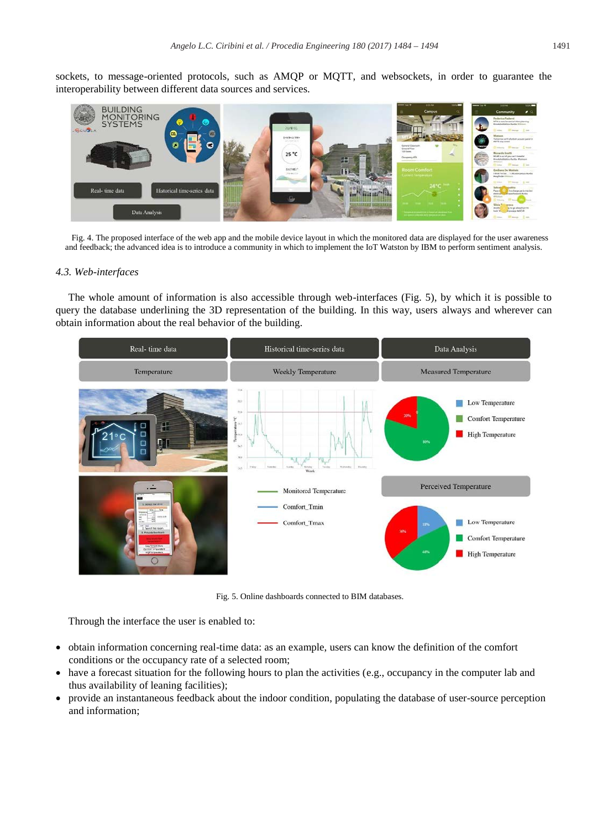sockets, to message-oriented protocols, such as AMQP or MQTT, and websockets, in order to guarantee the interoperability between different data sources and services.



Fig. 4. The proposed interface of the web app and the mobile device layout in which the monitored data are displayed for the user awareness and feedback; the advanced idea is to introduce a community in which to implement the IoT Watston by IBM to perform sentiment analysis.

### *4.3. Web-interfaces*

The whole amount of information is also accessible through web-interfaces (Fig. 5), by which it is possible to query the database underlining the 3D representation of the building. In this way, users always and wherever can obtain information about the real behavior of the building.



Fig. 5. Online dashboards connected to BIM databases.

Through the interface the user is enabled to:

- x obtain information concerning real-time data: as an example, users can know the definition of the comfort conditions or the occupancy rate of a selected room;
- have a forecast situation for the following hours to plan the activities (e.g., occupancy in the computer lab and thus availability of leaning facilities);
- provide an instantaneous feedback about the indoor condition, populating the database of user-source perception and information;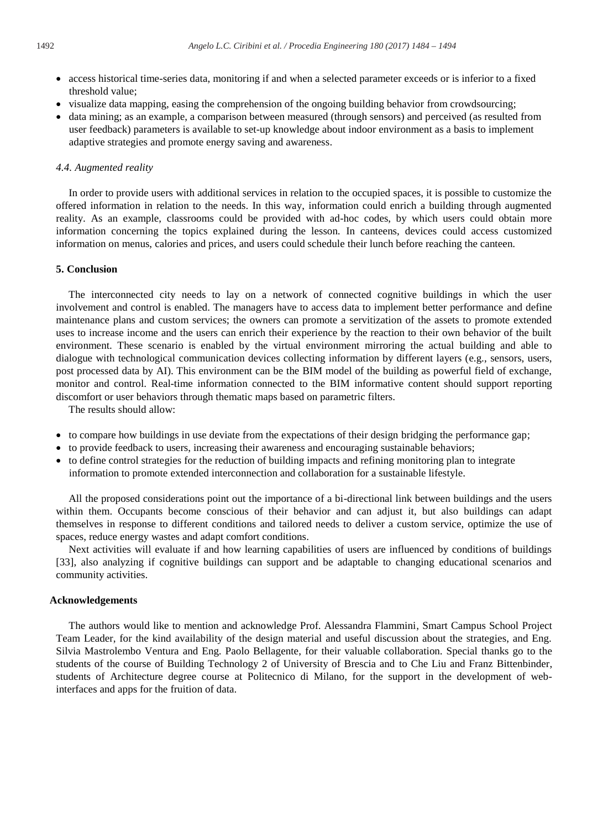- access historical time-series data, monitoring if and when a selected parameter exceeds or is inferior to a fixed threshold value;
- visualize data mapping, easing the comprehension of the ongoing building behavior from crowdsourcing;
- x data mining; as an example, a comparison between measured (through sensors) and perceived (as resulted from user feedback) parameters is available to set-up knowledge about indoor environment as a basis to implement adaptive strategies and promote energy saving and awareness.

## *4.4. Augmented reality*

In order to provide users with additional services in relation to the occupied spaces, it is possible to customize the offered information in relation to the needs. In this way, information could enrich a building through augmented reality. As an example, classrooms could be provided with ad-hoc codes, by which users could obtain more information concerning the topics explained during the lesson. In canteens, devices could access customized information on menus, calories and prices, and users could schedule their lunch before reaching the canteen.

## **5. Conclusion**

The interconnected city needs to lay on a network of connected cognitive buildings in which the user involvement and control is enabled. The managers have to access data to implement better performance and define maintenance plans and custom services; the owners can promote a servitization of the assets to promote extended uses to increase income and the users can enrich their experience by the reaction to their own behavior of the built environment. These scenario is enabled by the virtual environment mirroring the actual building and able to dialogue with technological communication devices collecting information by different layers (e.g., sensors, users, post processed data by AI). This environment can be the BIM model of the building as powerful field of exchange, monitor and control. Real-time information connected to the BIM informative content should support reporting discomfort or user behaviors through thematic maps based on parametric filters.

The results should allow:

- to compare how buildings in use deviate from the expectations of their design bridging the performance gap;
- x to provide feedback to users, increasing their awareness and encouraging sustainable behaviors;
- to define control strategies for the reduction of building impacts and refining monitoring plan to integrate information to promote extended interconnection and collaboration for a sustainable lifestyle.

All the proposed considerations point out the importance of a bi-directional link between buildings and the users within them. Occupants become conscious of their behavior and can adjust it, but also buildings can adapt themselves in response to different conditions and tailored needs to deliver a custom service, optimize the use of spaces, reduce energy wastes and adapt comfort conditions.

Next activities will evaluate if and how learning capabilities of users are influenced by conditions of buildings [33], also analyzing if cognitive buildings can support and be adaptable to changing educational scenarios and community activities.

## **Acknowledgements**

The authors would like to mention and acknowledge Prof. Alessandra Flammini, Smart Campus School Project Team Leader, for the kind availability of the design material and useful discussion about the strategies, and Eng. Silvia Mastrolembo Ventura and Eng. Paolo Bellagente, for their valuable collaboration. Special thanks go to the students of the course of Building Technology 2 of University of Brescia and to Che Liu and Franz Bittenbinder, students of Architecture degree course at Politecnico di Milano, for the support in the development of webinterfaces and apps for the fruition of data.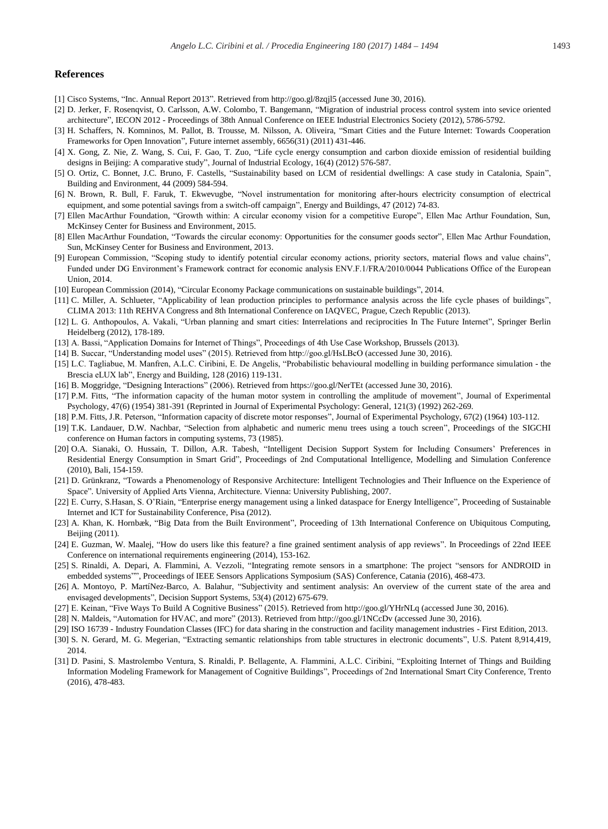#### **References**

- [1] Cisco Systems, "Inc. Annual Report 2013". Retrieved from http://goo.gl/8zqjl5 (accessed June 30, 2016).
- [2] D. Jerker, F. Rosenqvist, O. Carlsson, A.W. Colombo, T. Bangemann, "Migration of industrial process control system into sevice oriented architecture", IECON 2012 - Proceedings of 38th Annual Conference on IEEE Industrial Electronics Society (2012), 5786-5792.
- [3] H. Schaffers, N. Komninos, M. Pallot, B. Trousse, M. Nilsson, A. Oliveira, "Smart Cities and the Future Internet: Towards Cooperation Frameworks for Open Innovation", Future internet assembly, 6656(31) (2011) 431-446.
- [4] X. Gong, Z. Nie, Z. Wang, S. Cui, F. Gao, T. Zuo, "Life cycle energy consumption and carbon dioxide emission of residential building designs in Beijing: A comparative study", Journal of Industrial Ecology, 16(4) (2012) 576-587.
- [5] O. Ortiz, C. Bonnet, J.C. Bruno, F. Castells, "Sustainability based on LCM of residential dwellings: A case study in Catalonia, Spain", Building and Environment, 44 (2009) 584-594.
- [6] N. Brown, R. Bull, F. Faruk, T. Ekwevugbe, "Novel instrumentation for monitoring after-hours electricity consumption of electrical equipment, and some potential savings from a switch-off campaign", Energy and Buildings, 47 (2012) 74-83.
- [7] Ellen MacArthur Foundation, "Growth within: A circular economy vision for a competitive Europe", Ellen Mac Arthur Foundation, Sun, McKinsey Center for Business and Environment, 2015.
- [8] Ellen MacArthur Foundation, "Towards the circular economy: Opportunities for the consumer goods sector", Ellen Mac Arthur Foundation, Sun, McKinsey Center for Business and Environment, 2013.
- [9] European Commission, "Scoping study to identify potential circular economy actions, priority sectors, material flows and value chains", Funded under DG Environment's Framework contract for economic analysis ENV.F.1/FRA/2010/0044 Publications Office of the European Union, 2014.
- [10] European Commission (2014), "Circular Economy Package communications on sustainable buildings", 2014.
- [11] C. Miller, A. Schlueter, "Applicability of lean production principles to performance analysis across the life cycle phases of buildings", CLIMA 2013: 11th REHVA Congress and 8th International Conference on IAQVEC, Prague, Czech Republic (2013).
- [12] L. G. Anthopoulos, A. Vakali, "Urban planning and smart cities: Interrelations and reciprocities In The Future Internet", Springer Berlin Heidelberg (2012), 178-189.
- [13] A. Bassi, "Application Domains for Internet of Things", Proceedings of 4th Use Case Workshop, Brussels (2013).
- [14] B. Succar, "Understanding model uses" (2015). Retrieved from http://goo.gl/HsLBcO (accessed June 30, 2016).
- [15] L.C. Tagliabue, M. Manfren, A.L.C. Ciribini, E. De Angelis, "Probabilistic behavioural modelling in building performance simulation the Brescia eLUX lab", Energy and Building, 128 (2016) 119-131.
- [16] B. Moggridge, "Designing Interactions" (2006). Retrieved from https://goo.gl/NerTEt (accessed June 30, 2016).
- [17] P.M. Fitts, "The information capacity of the human motor system in controlling the amplitude of movement", Journal of Experimental Psychology, 47(6) (1954) 381-391 (Reprinted in Journal of Experimental Psychology: General, 121(3) (1992) 262-269.
- [18] P.M. Fitts, J.R. Peterson, "Information capacity of discrete motor responses", Journal of Experimental Psychology, 67(2) (1964) 103-112.
- [19] T.K. Landauer, D.W. Nachbar, "Selection from alphabetic and numeric menu trees using a touch screen", Proceedings of the SIGCHI conference on Human factors in computing systems, 73 (1985).
- [20] O.A. Sianaki, O. Hussain, T. Dillon, A.R. Tabesh, "Intelligent Decision Support System for Including Consumers' Preferences in Residential Energy Consumption in Smart Grid", Proceedings of 2nd Computational Intelligence, Modelling and Simulation Conference (2010), Bali, 154-159.
- [21] D. Grünkranz, "Towards a Phenomenology of Responsive Architecture: Intelligent Technologies and Their Influence on the Experience of Space". University of Applied Arts Vienna, Architecture. Vienna: University Publishing, 2007.
- [22] E. Curry, S.Hasan, S. O'Riain, "Enterprise energy management using a linked dataspace for Energy Intelligence", Proceeding of Sustainable Internet and ICT for Sustainability Conference, Pisa (2012).
- [23] A. Khan, K. Hornbæk, "Big Data from the Built Environment", Proceeding of 13th International Conference on Ubiquitous Computing, Beijing (2011).
- [24] E. Guzman, W. Maalej, "How do users like this feature? a fine grained sentiment analysis of app reviews". In Proceedings of 22nd IEEE Conference on international requirements engineering (2014), 153-162.
- [25] S. Rinaldi, A. Depari, A. Flammini, A. Vezzoli, "Integrating remote sensors in a smartphone: The project "sensors for ANDROID in embedded systems"", Proceedings of IEEE Sensors Applications Symposium (SAS) Conference, Catania (2016), 468-473.
- [26] A. Montoyo, P. MartíNez-Barco, A. Balahur, "Subjectivity and sentiment analysis: An overview of the current state of the area and envisaged developments", Decision Support Systems, 53(4) (2012) 675-679.
- [27] E. Keinan, "Five Ways To Build A Cognitive Business" (2015). Retrieved from http://goo.gl/YHrNLq (accessed June 30, 2016).
- [28] N. Maldeis, "Automation for HVAC, and more" (2013). Retrieved from http://goo.gl/1NCcDv (accessed June 30, 2016).
- [29] ISO 16739 Industry Foundation Classes (IFC) for data sharing in the construction and facility management industries First Edition, 2013.
- [30] S. N. Gerard, M. G. Megerian, "Extracting semantic relationships from table structures in electronic documents", U.S. Patent 8,914,419, 2014.
- [31] D. Pasini, S. Mastrolembo Ventura, S. Rinaldi, P. Bellagente, A. Flammini, A.L.C. Ciribini, "Exploiting Internet of Things and Building Information Modeling Framework for Management of Cognitive Buildings", Proceedings of 2nd International Smart City Conference, Trento (2016), 478-483.